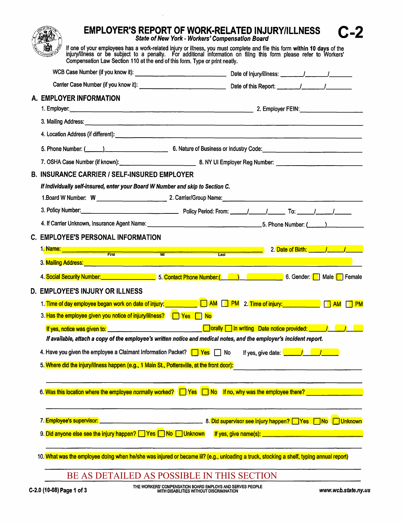**EMPLOYER'S REPORT OF WORK-RELATED INJURY/ILLNESS State of New York - Workers' Compensation Board** If one of your employees has a work-related injury or illness, you must complete and file this form within 10 days of the injury/illness or be subject to a penalty. For additional information on filing this form please ref Compensation Law Section 110 at the end of this form. Type or print neatly, WCB Case Number (if you know it): Carrier Case Number (if you know it): Carrier Case Number (if you know it): A. EMPLOYER INFORMATION 1. Employer: 2. Employer FEIN: 3. Mailing Address: the contract of the contract of the contract of the contract of the contract of the contract of the contract of 4. Location Address (if different): 5. Phone Number: ( ) 6. Nature of Business or Industry Code: 7. OSHA Case Number (if known): **B. INSURANCE CARRIER / SELF-INSURED EMPLOYER** If individually self-insured, enter your Board W Number and skip to Section C. 3. Policy Number: 4. If Carrier Unknown, Insurance Agent Name:  $\frac{1}{2}$  5. Phone Number:  $($ **C. EMPLOYEE'S PERSONAL INFORMATION** 1. Name: 2. Date of Birth: 1 **Excessive Cast**<br>Excess Last **First**  $\overline{M}$ 3. Mailing Address: The Contract of the Contract of the Contract of the Contract of the Contract of the Contract of the Contract of the Contract of the Contract of the Contract of the Contract of the Contract of the Contra 4. Social Security Number: **Social Security Number:** 5. Contact Phone Number: (All Allies Contact Discover 1997) 6. Gender: **[8]** Male **[8]** Female **D. EMPLOYEE'S INJURY OR ILLNESS** 1. Time of day employee began work on date of injury: The Common Case of AM THE MILE AND THE MILE AM THE PMILE 3. Has the employee given you notice of injury/illness? TVes TV **T** orally  $\Box$  in writing Date notice provided:  $\Box$ If yes, notice was given to: If available, attach a copy of the employee's written notice and medical notes, and the employer's incident report. 4. Have you given the employee a Claimant Information Packet?  $\Box$  Yes  $\Box$  No If yes, give date:  $\begin{array}{ccc} \hline \end{array}$   $\begin{array}{ccc} \hline \end{array}$ 5. Where did the injury/illness happen (e.g., 1 Main St., Pottersville, at the front door): 6. Was this location where the employee normally worked?  $\Box$  Yes  $\Box$  No If no, why was the employee there? 7. **Employee's supervisor:** 9. Did anvone else see the injury happen? Thes Tho Tunknown If yes, give name(s): The Manuscription of the injury happen? The S 10. What was the employee doing when he/she was injured or became iil? (e.g., unloading a truck, stocking a shelf, typing annual report) BE AS DETAILED AS POSSIBLE IN THIS SECTION

-7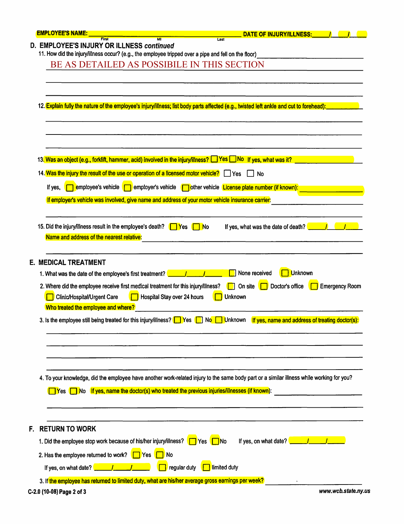| <b>EMPLOYEE'S NAME:</b>   |                                                                                                                               | $\overline{\mathbf{M}}$                                                                                               |                       | DATE OF INJURY/ILLNESS:                                                                                                                   |
|---------------------------|-------------------------------------------------------------------------------------------------------------------------------|-----------------------------------------------------------------------------------------------------------------------|-----------------------|-------------------------------------------------------------------------------------------------------------------------------------------|
|                           | D. EMPLOYEE'S INJURY OR ILLNESS continued                                                                                     | 11. How did the injury/illness occur? (e.g., the employee tripped over a pipe and fell on the floor)                  | Last                  |                                                                                                                                           |
|                           |                                                                                                                               | BE AS DETAILED AS POSSIBILE IN THIS SECTION                                                                           |                       |                                                                                                                                           |
|                           |                                                                                                                               |                                                                                                                       |                       |                                                                                                                                           |
|                           |                                                                                                                               |                                                                                                                       |                       | 12. Explain fully the nature of the employee's injury/illness; list body parts affected (e.g., twisted left ankle and cut to forehead):   |
|                           |                                                                                                                               | 13. Was an object (e.g., forklift, hammer, acid) involved in the injury/illness? Salves and only of yes, what was it? |                       |                                                                                                                                           |
|                           |                                                                                                                               | 14. Was the injury the result of the use or operation of a licensed motor vehicle? $\Box$ Yes $\Box$ No               |                       |                                                                                                                                           |
| If yes,                   | employee's vehicle [                                                                                                          | employer's vehicle rether vehicle License plate number (if known):                                                    |                       |                                                                                                                                           |
|                           |                                                                                                                               | If employer's vehicle was involved, give name and address of your motor vehicle insurance carrier:                    |                       |                                                                                                                                           |
|                           | Name and address of the nearest relative:                                                                                     | 15. Did the injury/illness result in the employee's death? $\Box$ Yes<br><u>I No</u>                                  |                       | If yes, what was the date of death? $\sqrt{1-\frac{1}{\sqrt{1-\lambda^2}}}$                                                               |
|                           | <b>E. MEDICAL TREATMENT</b>                                                                                                   |                                                                                                                       |                       |                                                                                                                                           |
|                           | 1. What was the date of the employee's first treatment?<br>Clinic/Hospital/Urgent Care<br>Who treated the employee and where? | 2. Where did the employee receive first medical treatment for this injury/illness?<br>Hospital Stay over 24 hours     | <b>Unknown</b>        | <b>Unknown</b><br>None received<br>On site<br>Doctor's office<br><b>Emergency Room</b>                                                    |
|                           |                                                                                                                               | 3. Is the employee still being treated for this injury/illness? $\Box$ Yes                                            | <b>Unknown</b><br>No. | If yes, name and address of treating doctor(s):                                                                                           |
|                           |                                                                                                                               |                                                                                                                       |                       | 4. To your knowledge, did the employee have another work-related injury to the same body part or a similar illness while working for you? |
| <b>IYes</b>               | <u>∣No</u>                                                                                                                    | If yes, name the doctor(s) who treated the previous injuries/illnesses (if known):                                    |                       |                                                                                                                                           |
| <b>RETURN TO WORK</b>     |                                                                                                                               |                                                                                                                       |                       |                                                                                                                                           |
|                           |                                                                                                                               | 1. Did the employee stop work because of his/her injury/illness? $\Box$ Yes $\Box$ No                                 |                       | If yes, on what date? $\sqrt{1-\frac{1}{2}}$                                                                                              |
|                           | 2. Has the employee returned to work? $\Box$ Yes                                                                              | i No                                                                                                                  |                       |                                                                                                                                           |
|                           | If yes, on what date? $\sqrt{1 - 1}$                                                                                          | regular duty                                                                                                          | limited duty          |                                                                                                                                           |
|                           |                                                                                                                               | 3. If the employee has returned to limited duty, what are his/her average gross earnings per week?                    |                       |                                                                                                                                           |
| C-2.0 (10-08) Page 2 of 3 |                                                                                                                               |                                                                                                                       |                       | www.wcb.state.ny.us                                                                                                                       |